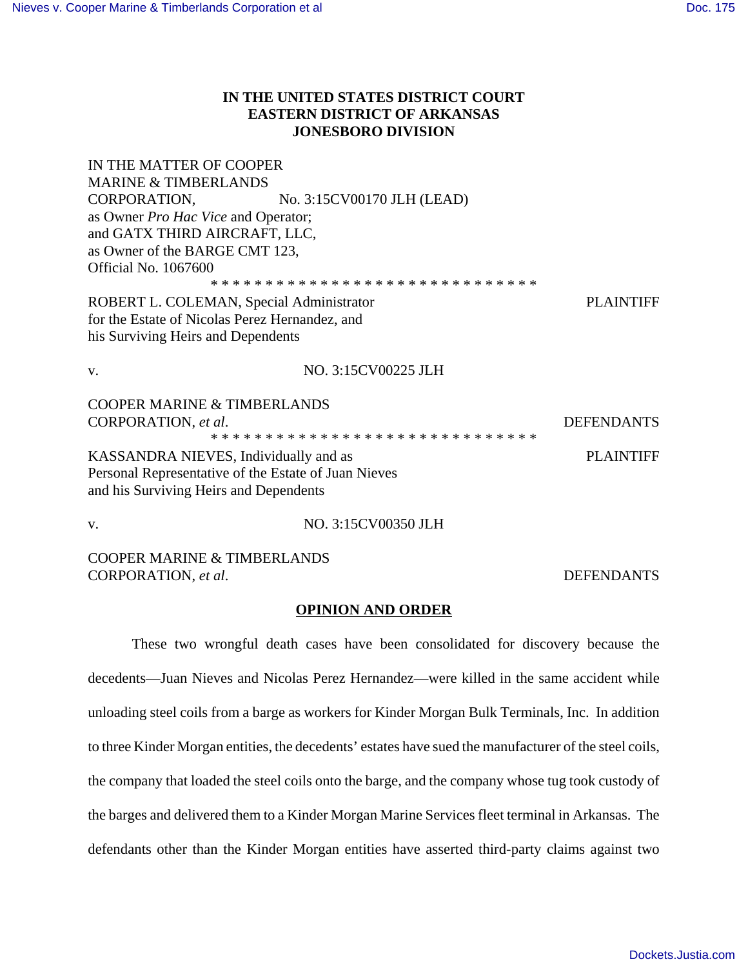# **IN THE UNITED STATES DISTRICT COURT EASTERN DISTRICT OF ARKANSAS JONESBORO DIVISION**

| IN THE MATTER OF COOPER<br><b>MARINE &amp; TIMBERLANDS</b>   |                                         |                   |
|--------------------------------------------------------------|-----------------------------------------|-------------------|
|                                                              | CORPORATION, No. 3:15CV00170 JLH (LEAD) |                   |
| as Owner <i>Pro Hac Vice</i> and Operator;                   |                                         |                   |
| and GATX THIRD AIRCRAFT, LLC,                                |                                         |                   |
| as Owner of the BARGE CMT 123,                               |                                         |                   |
| <b>Official No. 1067600</b>                                  |                                         |                   |
|                                                              |                                         |                   |
| ROBERT L. COLEMAN, Special Administrator<br><b>PLAINTIFF</b> |                                         |                   |
| for the Estate of Nicolas Perez Hernandez, and               |                                         |                   |
| his Surviving Heirs and Dependents                           |                                         |                   |
|                                                              |                                         |                   |
| $V_{\cdot}$                                                  | NO. 3:15CV00225 JLH                     |                   |
| <b>COOPER MARINE &amp; TIMBERLANDS</b>                       |                                         |                   |
| CORPORATION, et al.                                          |                                         | <b>DEFENDANTS</b> |
|                                                              |                                         |                   |
| KASSANDRA NIEVES, Individually and as                        |                                         | <b>PLAINTIFF</b>  |
| Personal Representative of the Estate of Juan Nieves         |                                         |                   |
|                                                              |                                         |                   |

and his Surviving Heirs and Dependents

v. NO. 3:15CV00350 JLH

COOPER MARINE & TIMBERLANDS CORPORATION, *et al*. DEFENDANTS

# **OPINION AND ORDER**

These two wrongful death cases have been consolidated for discovery because the decedents—Juan Nieves and Nicolas Perez Hernandez—were killed in the same accident while unloading steel coils from a barge as workers for Kinder Morgan Bulk Terminals, Inc. In addition to three Kinder Morgan entities, the decedents' estates have sued the manufacturer of the steel coils, the company that loaded the steel coils onto the barge, and the company whose tug took custody of the barges and delivered them to a Kinder Morgan Marine Services fleet terminal in Arkansas. The defendants other than the Kinder Morgan entities have asserted third-party claims against two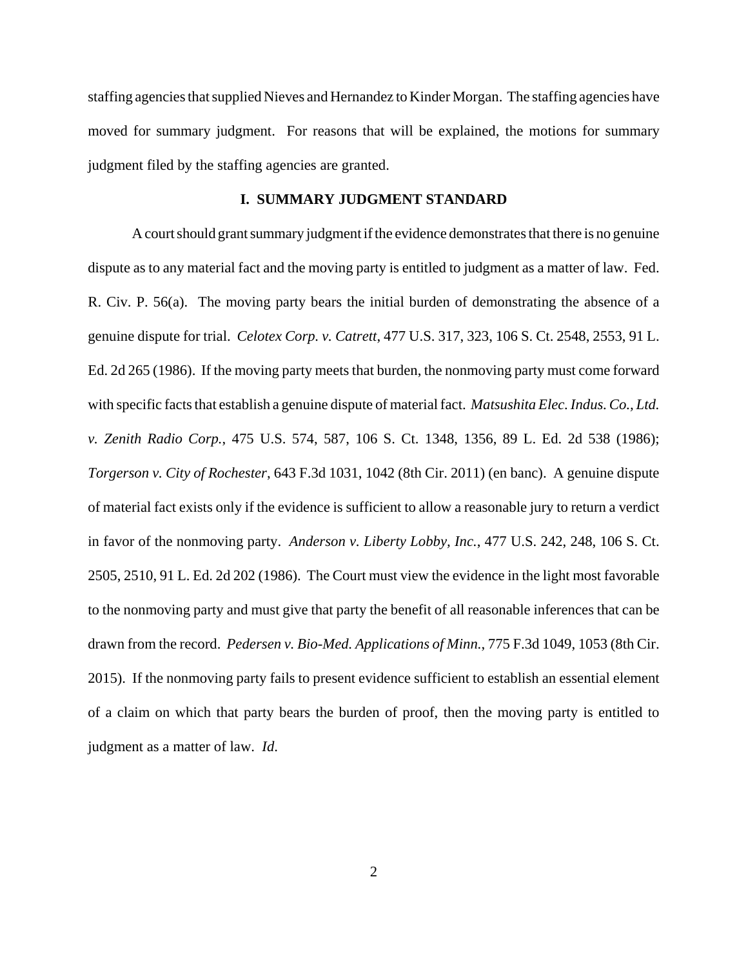staffing agencies that supplied Nieves and Hernandez to Kinder Morgan. The staffing agencies have moved for summary judgment. For reasons that will be explained, the motions for summary judgment filed by the staffing agencies are granted.

# **I. SUMMARY JUDGMENT STANDARD**

A court should grant summary judgment if the evidence demonstrates that there is no genuine dispute as to any material fact and the moving party is entitled to judgment as a matter of law. Fed. R. Civ. P. 56(a). The moving party bears the initial burden of demonstrating the absence of a genuine dispute for trial. *Celotex Corp. v. Catrett*, 477 U.S. 317, 323, 106 S. Ct. 2548, 2553, 91 L. Ed. 2d 265 (1986). If the moving party meets that burden, the nonmoving party must come forward with specific facts that establish a genuine dispute of material fact. *Matsushita Elec. Indus. Co., Ltd. v. Zenith Radio Corp.*, 475 U.S. 574, 587, 106 S. Ct. 1348, 1356, 89 L. Ed. 2d 538 (1986); *Torgerson v. City of Rochester*, 643 F.3d 1031, 1042 (8th Cir. 2011) (en banc). A genuine dispute of material fact exists only if the evidence is sufficient to allow a reasonable jury to return a verdict in favor of the nonmoving party. *Anderson v. Liberty Lobby, Inc.*, 477 U.S. 242, 248, 106 S. Ct. 2505, 2510, 91 L. Ed. 2d 202 (1986). The Court must view the evidence in the light most favorable to the nonmoving party and must give that party the benefit of all reasonable inferences that can be drawn from the record. *Pedersen v. Bio-Med. Applications of Minn.*, 775 F.3d 1049, 1053 (8th Cir. 2015). If the nonmoving party fails to present evidence sufficient to establish an essential element of a claim on which that party bears the burden of proof, then the moving party is entitled to judgment as a matter of law. *Id*.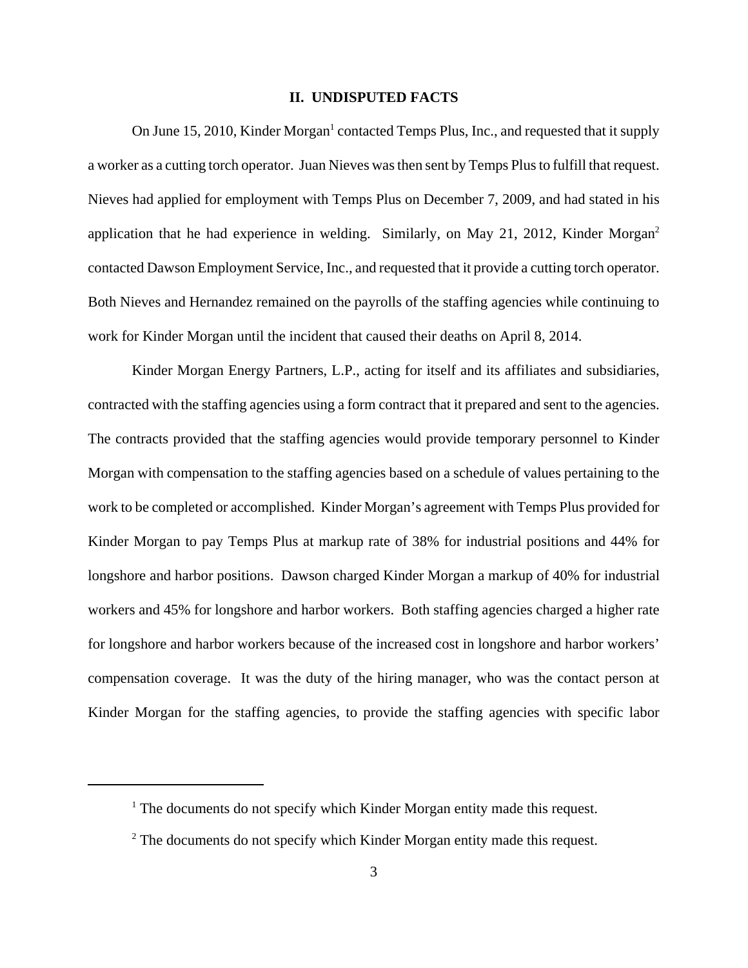# **II. UNDISPUTED FACTS**

On June 15, 2010, Kinder Morgan<sup>1</sup> contacted Temps Plus, Inc., and requested that it supply a worker as a cutting torch operator. Juan Nieves was then sent by Temps Plus to fulfill that request. Nieves had applied for employment with Temps Plus on December 7, 2009, and had stated in his application that he had experience in welding. Similarly, on May 21, 2012, Kinder Morgan<sup>2</sup> contacted Dawson Employment Service, Inc., and requested that it provide a cutting torch operator. Both Nieves and Hernandez remained on the payrolls of the staffing agencies while continuing to work for Kinder Morgan until the incident that caused their deaths on April 8, 2014.

Kinder Morgan Energy Partners, L.P., acting for itself and its affiliates and subsidiaries, contracted with the staffing agencies using a form contract that it prepared and sent to the agencies. The contracts provided that the staffing agencies would provide temporary personnel to Kinder Morgan with compensation to the staffing agencies based on a schedule of values pertaining to the work to be completed or accomplished. Kinder Morgan's agreement with Temps Plus provided for Kinder Morgan to pay Temps Plus at markup rate of 38% for industrial positions and 44% for longshore and harbor positions. Dawson charged Kinder Morgan a markup of 40% for industrial workers and 45% for longshore and harbor workers. Both staffing agencies charged a higher rate for longshore and harbor workers because of the increased cost in longshore and harbor workers' compensation coverage. It was the duty of the hiring manager, who was the contact person at Kinder Morgan for the staffing agencies, to provide the staffing agencies with specific labor

<sup>&</sup>lt;sup>1</sup> The documents do not specify which Kinder Morgan entity made this request.

 $2^2$  The documents do not specify which Kinder Morgan entity made this request.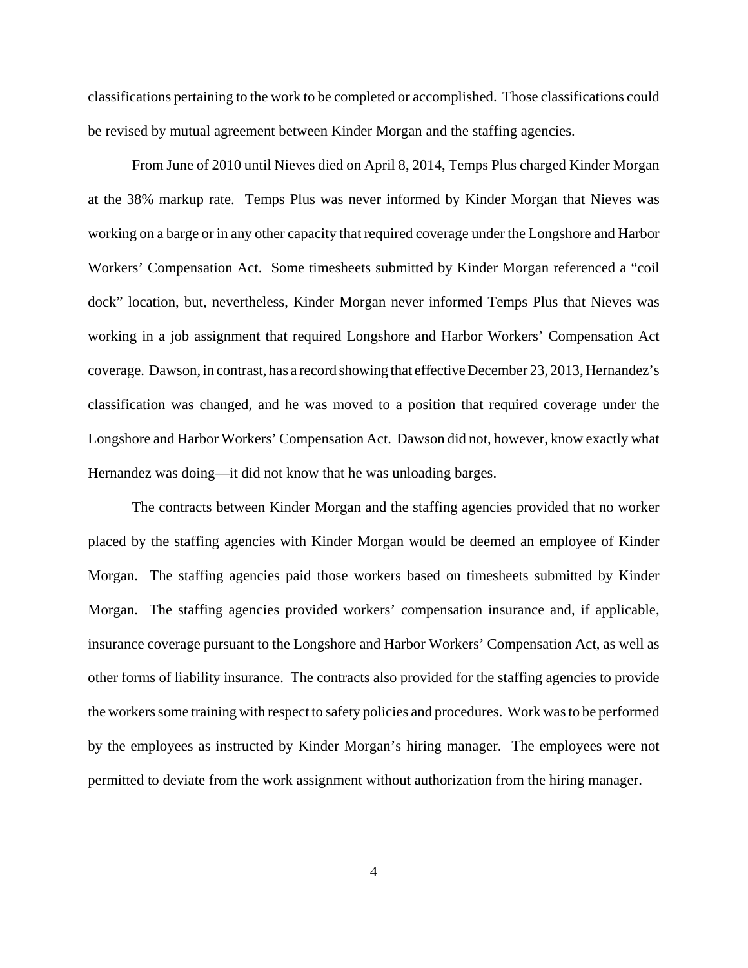classifications pertaining to the work to be completed or accomplished. Those classifications could be revised by mutual agreement between Kinder Morgan and the staffing agencies.

From June of 2010 until Nieves died on April 8, 2014, Temps Plus charged Kinder Morgan at the 38% markup rate. Temps Plus was never informed by Kinder Morgan that Nieves was working on a barge or in any other capacity that required coverage under the Longshore and Harbor Workers' Compensation Act. Some timesheets submitted by Kinder Morgan referenced a "coil dock" location, but, nevertheless, Kinder Morgan never informed Temps Plus that Nieves was working in a job assignment that required Longshore and Harbor Workers' Compensation Act coverage. Dawson, in contrast, has a record showing that effective December 23, 2013, Hernandez's classification was changed, and he was moved to a position that required coverage under the Longshore and Harbor Workers' Compensation Act. Dawson did not, however, know exactly what Hernandez was doing—it did not know that he was unloading barges.

The contracts between Kinder Morgan and the staffing agencies provided that no worker placed by the staffing agencies with Kinder Morgan would be deemed an employee of Kinder Morgan. The staffing agencies paid those workers based on timesheets submitted by Kinder Morgan. The staffing agencies provided workers' compensation insurance and, if applicable, insurance coverage pursuant to the Longshore and Harbor Workers' Compensation Act, as well as other forms of liability insurance. The contracts also provided for the staffing agencies to provide the workers some training with respect to safety policies and procedures. Work was to be performed by the employees as instructed by Kinder Morgan's hiring manager. The employees were not permitted to deviate from the work assignment without authorization from the hiring manager.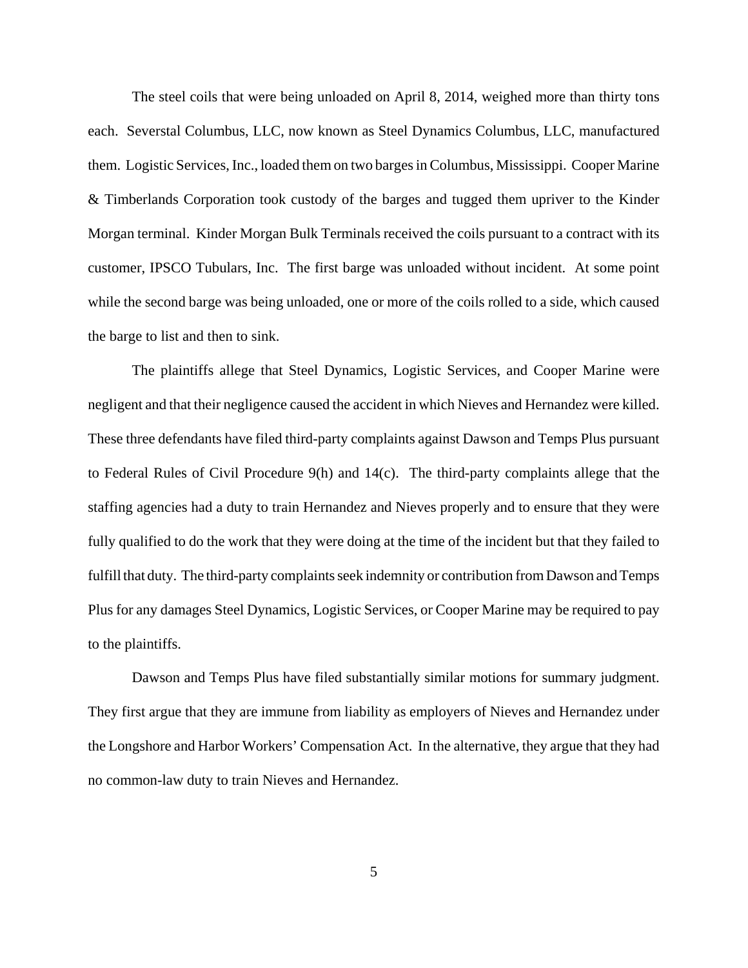The steel coils that were being unloaded on April 8, 2014, weighed more than thirty tons each. Severstal Columbus, LLC, now known as Steel Dynamics Columbus, LLC, manufactured them. Logistic Services, Inc., loaded them on two barges in Columbus, Mississippi. Cooper Marine & Timberlands Corporation took custody of the barges and tugged them upriver to the Kinder Morgan terminal. Kinder Morgan Bulk Terminals received the coils pursuant to a contract with its customer, IPSCO Tubulars, Inc. The first barge was unloaded without incident. At some point while the second barge was being unloaded, one or more of the coils rolled to a side, which caused the barge to list and then to sink.

The plaintiffs allege that Steel Dynamics, Logistic Services, and Cooper Marine were negligent and that their negligence caused the accident in which Nieves and Hernandez were killed. These three defendants have filed third-party complaints against Dawson and Temps Plus pursuant to Federal Rules of Civil Procedure 9(h) and 14(c). The third-party complaints allege that the staffing agencies had a duty to train Hernandez and Nieves properly and to ensure that they were fully qualified to do the work that they were doing at the time of the incident but that they failed to fulfill that duty. The third-party complaints seek indemnity or contribution from Dawson and Temps Plus for any damages Steel Dynamics, Logistic Services, or Cooper Marine may be required to pay to the plaintiffs.

Dawson and Temps Plus have filed substantially similar motions for summary judgment. They first argue that they are immune from liability as employers of Nieves and Hernandez under the Longshore and Harbor Workers' Compensation Act. In the alternative, they argue that they had no common-law duty to train Nieves and Hernandez.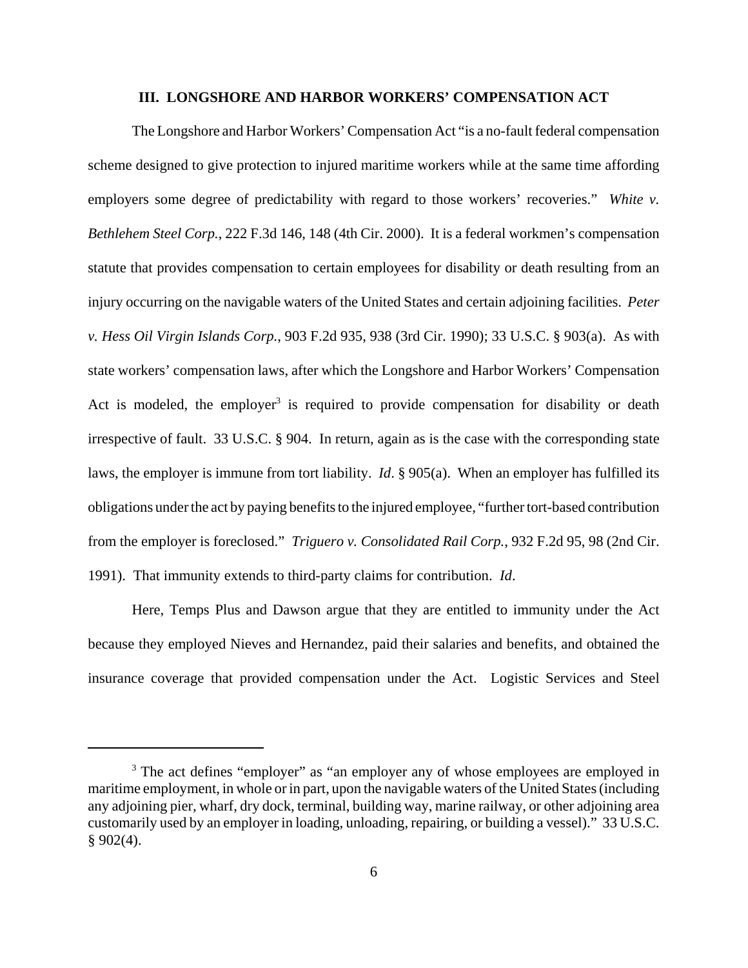## **III. LONGSHORE AND HARBOR WORKERS' COMPENSATION ACT**

The Longshore and Harbor Workers' Compensation Act "is a no-fault federal compensation scheme designed to give protection to injured maritime workers while at the same time affording employers some degree of predictability with regard to those workers' recoveries." *White v. Bethlehem Steel Corp.*, 222 F.3d 146, 148 (4th Cir. 2000). It is a federal workmen's compensation statute that provides compensation to certain employees for disability or death resulting from an injury occurring on the navigable waters of the United States and certain adjoining facilities. *Peter v. Hess Oil Virgin Islands Corp.*, 903 F.2d 935, 938 (3rd Cir. 1990); 33 U.S.C. § 903(a). As with state workers' compensation laws, after which the Longshore and Harbor Workers' Compensation Act is modeled, the employer<sup>3</sup> is required to provide compensation for disability or death irrespective of fault. 33 U.S.C. § 904. In return, again as is the case with the corresponding state laws, the employer is immune from tort liability. *Id*. § 905(a). When an employer has fulfilled its obligations under the act by paying benefits to the injured employee, "further tort-based contribution from the employer is foreclosed." *Triguero v. Consolidated Rail Corp.*, 932 F.2d 95, 98 (2nd Cir. 1991). That immunity extends to third-party claims for contribution. *Id*.

Here, Temps Plus and Dawson argue that they are entitled to immunity under the Act because they employed Nieves and Hernandez, paid their salaries and benefits, and obtained the insurance coverage that provided compensation under the Act. Logistic Services and Steel

<sup>&</sup>lt;sup>3</sup> The act defines "employer" as "an employer any of whose employees are employed in maritime employment, in whole or in part, upon the navigable waters of the United States (including any adjoining pier, wharf, dry dock, terminal, building way, marine railway, or other adjoining area customarily used by an employer in loading, unloading, repairing, or building a vessel)." 33 U.S.C.  $§ 902(4).$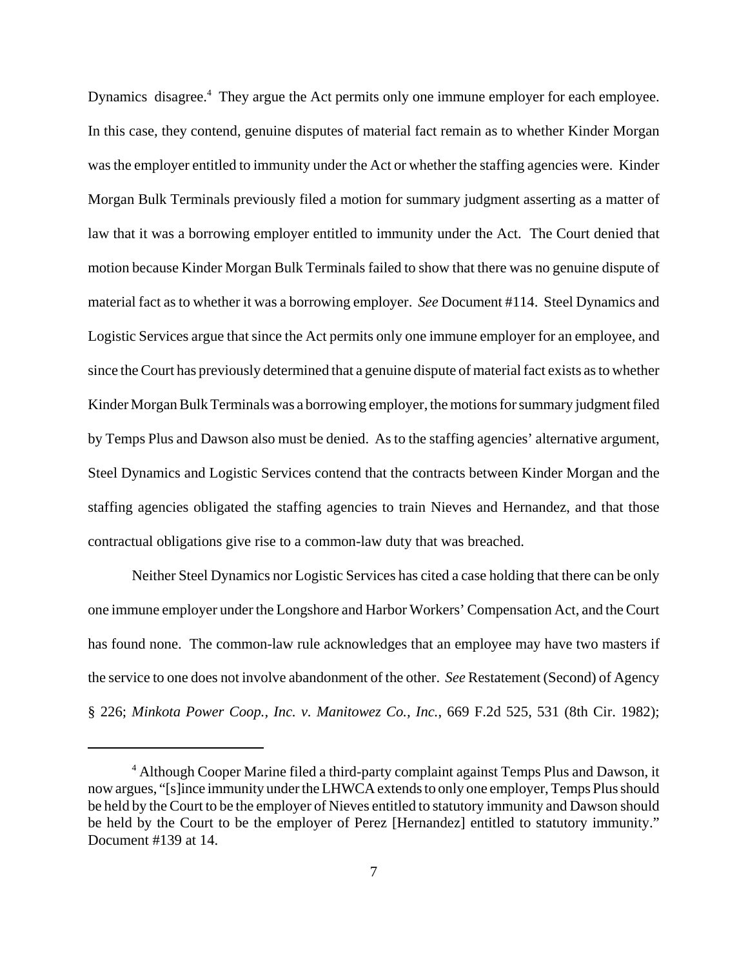Dynamics disagree.<sup>4</sup> They argue the Act permits only one immune employer for each employee. In this case, they contend, genuine disputes of material fact remain as to whether Kinder Morgan was the employer entitled to immunity under the Act or whether the staffing agencies were. Kinder Morgan Bulk Terminals previously filed a motion for summary judgment asserting as a matter of law that it was a borrowing employer entitled to immunity under the Act. The Court denied that motion because Kinder Morgan Bulk Terminals failed to show that there was no genuine dispute of material fact as to whether it was a borrowing employer. *See* Document #114. Steel Dynamics and Logistic Services argue that since the Act permits only one immune employer for an employee, and since the Court has previously determined that a genuine dispute of material fact exists as to whether Kinder Morgan Bulk Terminals was a borrowing employer, the motions for summary judgment filed by Temps Plus and Dawson also must be denied. As to the staffing agencies' alternative argument, Steel Dynamics and Logistic Services contend that the contracts between Kinder Morgan and the staffing agencies obligated the staffing agencies to train Nieves and Hernandez, and that those contractual obligations give rise to a common-law duty that was breached.

Neither Steel Dynamics nor Logistic Services has cited a case holding that there can be only one immune employer under the Longshore and Harbor Workers' Compensation Act, and the Court has found none. The common-law rule acknowledges that an employee may have two masters if the service to one does not involve abandonment of the other. *See* Restatement (Second) of Agency § 226; *Minkota Power Coop., Inc. v. Manitowez Co., Inc.*, 669 F.2d 525, 531 (8th Cir. 1982);

<sup>&</sup>lt;sup>4</sup> Although Cooper Marine filed a third-party complaint against Temps Plus and Dawson, it now argues, "[s]ince immunity under the LHWCA extends to only one employer, Temps Plus should be held by the Court to be the employer of Nieves entitled to statutory immunity and Dawson should be held by the Court to be the employer of Perez [Hernandez] entitled to statutory immunity." Document #139 at 14.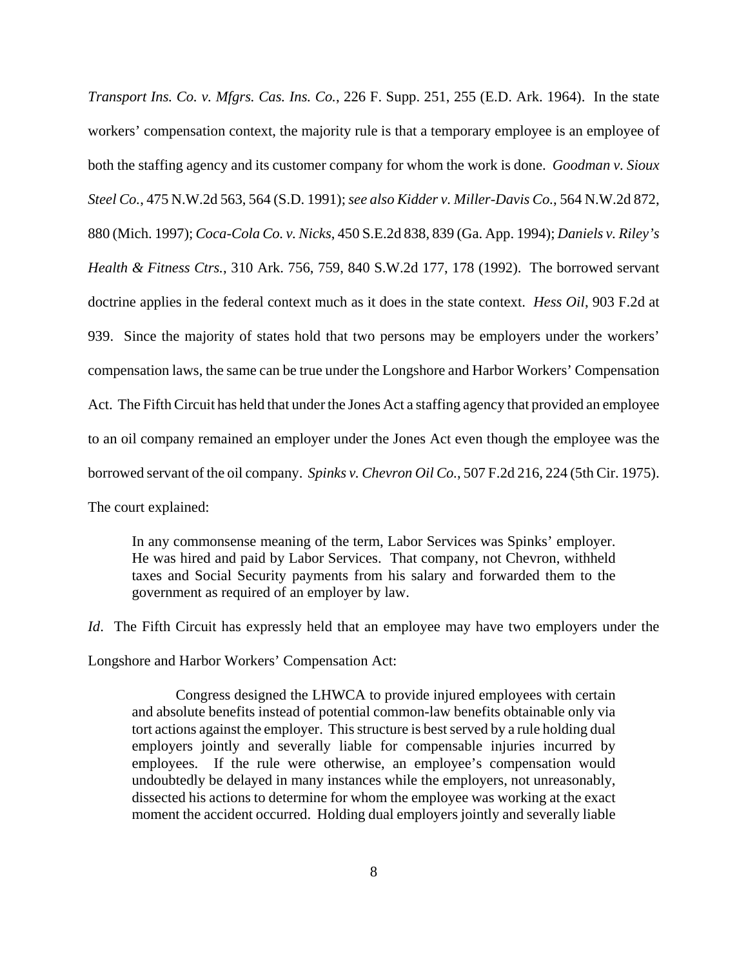*Transport Ins. Co. v. Mfgrs. Cas. Ins. Co.*, 226 F. Supp. 251, 255 (E.D. Ark. 1964). In the state workers' compensation context, the majority rule is that a temporary employee is an employee of both the staffing agency and its customer company for whom the work is done. *Goodman v. Sioux Steel Co.*, 475 N.W.2d 563, 564 (S.D. 1991); *see also Kidder v. Miller-Davis Co.*, 564 N.W.2d 872, 880 (Mich. 1997); *Coca-Cola Co. v. Nicks*, 450 S.E.2d 838, 839 (Ga. App. 1994); *Daniels v. Riley's Health & Fitness Ctrs.*, 310 Ark. 756, 759, 840 S.W.2d 177, 178 (1992). The borrowed servant doctrine applies in the federal context much as it does in the state context. *Hess Oil*, 903 F.2d at 939. Since the majority of states hold that two persons may be employers under the workers' compensation laws, the same can be true under the Longshore and Harbor Workers' Compensation Act. The Fifth Circuit has held that under the Jones Act a staffing agency that provided an employee to an oil company remained an employer under the Jones Act even though the employee was the borrowed servant of the oil company. *Spinks v. Chevron Oil Co.*, 507 F.2d 216, 224 (5th Cir. 1975). The court explained:

In any commonsense meaning of the term, Labor Services was Spinks' employer. He was hired and paid by Labor Services. That company, not Chevron, withheld taxes and Social Security payments from his salary and forwarded them to the government as required of an employer by law.

*Id.* The Fifth Circuit has expressly held that an employee may have two employers under the Longshore and Harbor Workers' Compensation Act:

Congress designed the LHWCA to provide injured employees with certain and absolute benefits instead of potential common-law benefits obtainable only via tort actions against the employer. This structure is best served by a rule holding dual employers jointly and severally liable for compensable injuries incurred by employees. If the rule were otherwise, an employee's compensation would undoubtedly be delayed in many instances while the employers, not unreasonably, dissected his actions to determine for whom the employee was working at the exact moment the accident occurred. Holding dual employers jointly and severally liable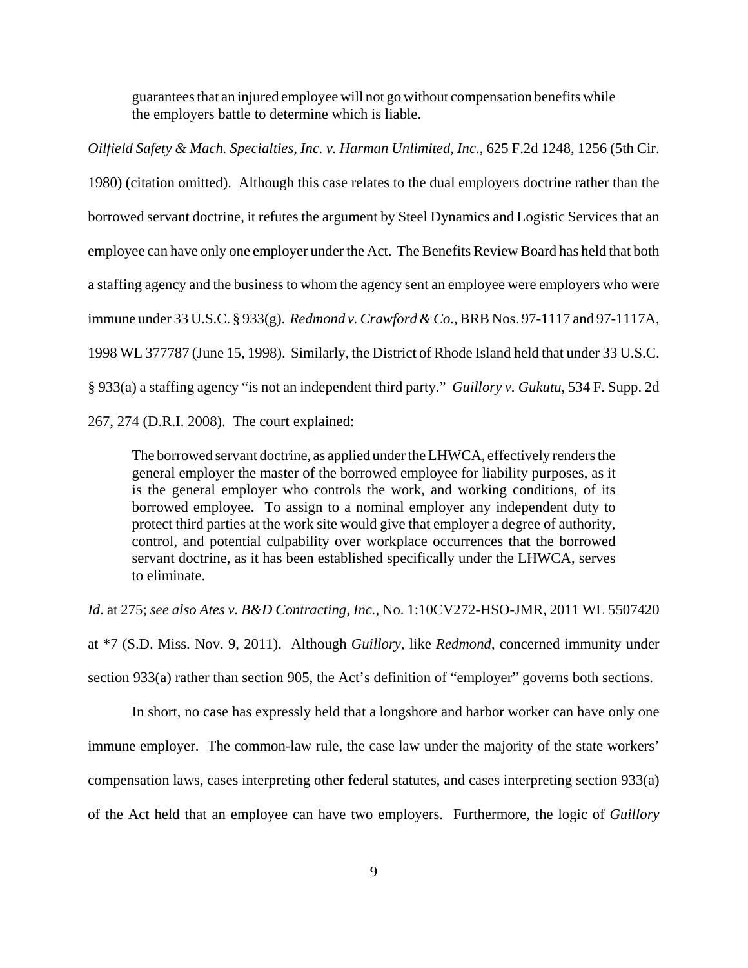guarantees that an injured employee will not go without compensation benefits while the employers battle to determine which is liable.

*Oilfield Safety & Mach. Specialties, Inc. v. Harman Unlimited, Inc.*, 625 F.2d 1248, 1256 (5th Cir. 1980) (citation omitted). Although this case relates to the dual employers doctrine rather than the borrowed servant doctrine, it refutes the argument by Steel Dynamics and Logistic Services that an employee can have only one employer under the Act. The Benefits Review Board has held that both a staffing agency and the business to whom the agency sent an employee were employers who were immune under 33 U.S.C. § 933(g). *Redmond v. Crawford & Co.*, BRB Nos. 97-1117 and 97-1117A, 1998 WL 377787 (June 15, 1998). Similarly, the District of Rhode Island held that under 33 U.S.C. § 933(a) a staffing agency "is not an independent third party." *Guillory v. Gukutu*, 534 F. Supp. 2d 267, 274 (D.R.I. 2008). The court explained:

The borrowed servant doctrine, as applied under the LHWCA, effectively renders the general employer the master of the borrowed employee for liability purposes, as it is the general employer who controls the work, and working conditions, of its borrowed employee. To assign to a nominal employer any independent duty to protect third parties at the work site would give that employer a degree of authority, control, and potential culpability over workplace occurrences that the borrowed servant doctrine, as it has been established specifically under the LHWCA, serves to eliminate.

*Id*. at 275; *see also Ates v. B&D Contracting, Inc.*, No. 1:10CV272-HSO-JMR, 2011 WL 5507420

at \*7 (S.D. Miss. Nov. 9, 2011). Although *Guillory*, like *Redmond*, concerned immunity under section 933(a) rather than section 905, the Act's definition of "employer" governs both sections.

In short, no case has expressly held that a longshore and harbor worker can have only one immune employer. The common-law rule, the case law under the majority of the state workers' compensation laws, cases interpreting other federal statutes, and cases interpreting section 933(a) of the Act held that an employee can have two employers. Furthermore, the logic of *Guillory*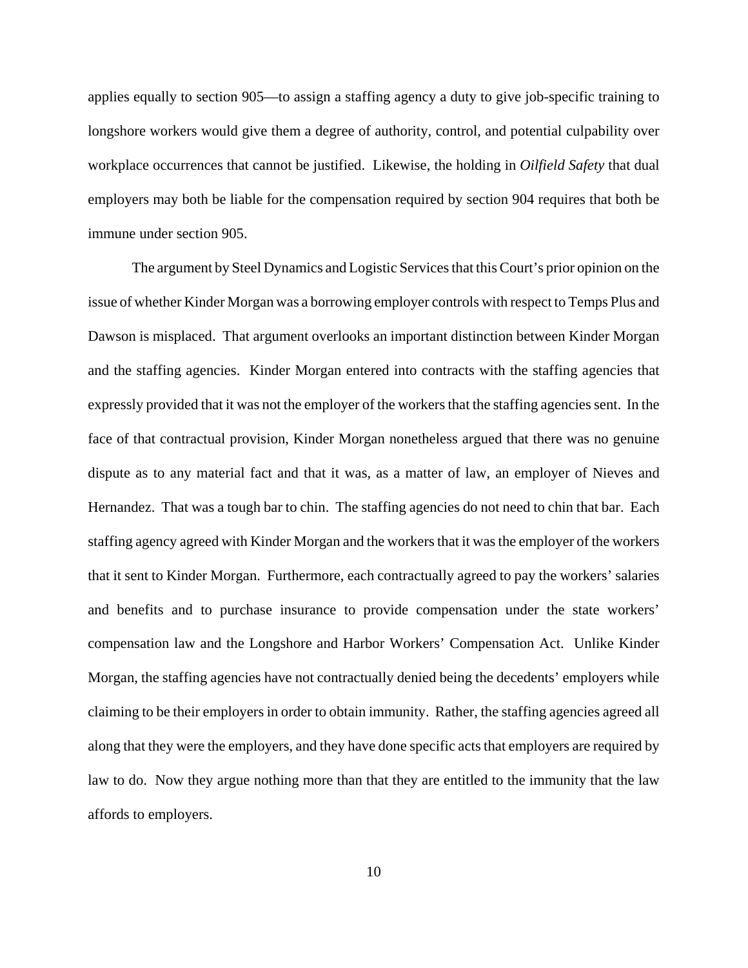applies equally to section 905—to assign a staffing agency a duty to give job-specific training to longshore workers would give them a degree of authority, control, and potential culpability over workplace occurrences that cannot be justified. Likewise, the holding in *Oilfield Safety* that dual employers may both be liable for the compensation required by section 904 requires that both be immune under section 905.

The argument by Steel Dynamics and Logistic Services that this Court's prior opinion on the issue of whether Kinder Morgan was a borrowing employer controls with respect to Temps Plus and Dawson is misplaced. That argument overlooks an important distinction between Kinder Morgan and the staffing agencies. Kinder Morgan entered into contracts with the staffing agencies that expressly provided that it was not the employer of the workers that the staffing agencies sent. In the face of that contractual provision, Kinder Morgan nonetheless argued that there was no genuine dispute as to any material fact and that it was, as a matter of law, an employer of Nieves and Hernandez. That was a tough bar to chin. The staffing agencies do not need to chin that bar. Each staffing agency agreed with Kinder Morgan and the workers that it was the employer of the workers that it sent to Kinder Morgan. Furthermore, each contractually agreed to pay the workers' salaries and benefits and to purchase insurance to provide compensation under the state workers' compensation law and the Longshore and Harbor Workers' Compensation Act. Unlike Kinder Morgan, the staffing agencies have not contractually denied being the decedents' employers while claiming to be their employers in order to obtain immunity. Rather, the staffing agencies agreed all along that they were the employers, and they have done specific acts that employers are required by law to do. Now they argue nothing more than that they are entitled to the immunity that the law affords to employers.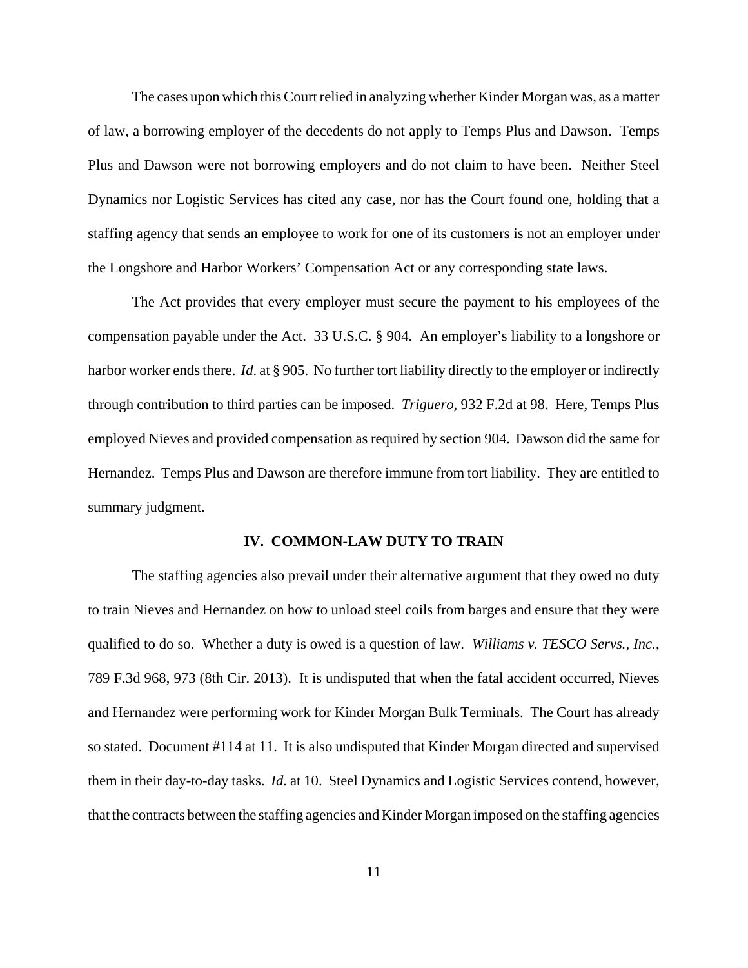The cases upon which this Court relied in analyzing whether Kinder Morgan was, as a matter of law, a borrowing employer of the decedents do not apply to Temps Plus and Dawson. Temps Plus and Dawson were not borrowing employers and do not claim to have been. Neither Steel Dynamics nor Logistic Services has cited any case, nor has the Court found one, holding that a staffing agency that sends an employee to work for one of its customers is not an employer under the Longshore and Harbor Workers' Compensation Act or any corresponding state laws.

The Act provides that every employer must secure the payment to his employees of the compensation payable under the Act. 33 U.S.C. § 904. An employer's liability to a longshore or harbor worker ends there. *Id*. at § 905. No further tort liability directly to the employer or indirectly through contribution to third parties can be imposed. *Triguero*, 932 F.2d at 98. Here, Temps Plus employed Nieves and provided compensation as required by section 904. Dawson did the same for Hernandez. Temps Plus and Dawson are therefore immune from tort liability. They are entitled to summary judgment.

## **IV. COMMON-LAW DUTY TO TRAIN**

The staffing agencies also prevail under their alternative argument that they owed no duty to train Nieves and Hernandez on how to unload steel coils from barges and ensure that they were qualified to do so. Whether a duty is owed is a question of law. *Williams v. TESCO Servs., Inc.*, 789 F.3d 968, 973 (8th Cir. 2013). It is undisputed that when the fatal accident occurred, Nieves and Hernandez were performing work for Kinder Morgan Bulk Terminals. The Court has already so stated. Document #114 at 11. It is also undisputed that Kinder Morgan directed and supervised them in their day-to-day tasks. *Id*. at 10. Steel Dynamics and Logistic Services contend, however, that the contracts between the staffing agencies and Kinder Morgan imposed on the staffing agencies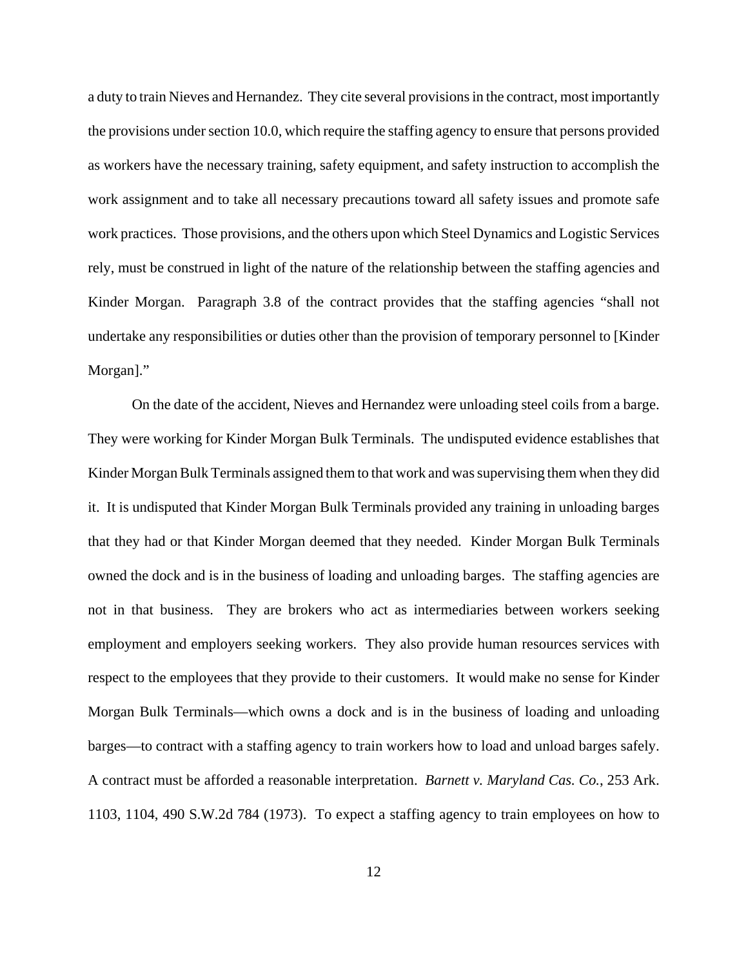a duty to train Nieves and Hernandez. They cite several provisions in the contract, most importantly the provisions under section 10.0, which require the staffing agency to ensure that persons provided as workers have the necessary training, safety equipment, and safety instruction to accomplish the work assignment and to take all necessary precautions toward all safety issues and promote safe work practices. Those provisions, and the others upon which Steel Dynamics and Logistic Services rely, must be construed in light of the nature of the relationship between the staffing agencies and Kinder Morgan. Paragraph 3.8 of the contract provides that the staffing agencies "shall not undertake any responsibilities or duties other than the provision of temporary personnel to [Kinder Morgan]."

On the date of the accident, Nieves and Hernandez were unloading steel coils from a barge. They were working for Kinder Morgan Bulk Terminals. The undisputed evidence establishes that Kinder Morgan Bulk Terminals assigned them to that work and was supervising them when they did it. It is undisputed that Kinder Morgan Bulk Terminals provided any training in unloading barges that they had or that Kinder Morgan deemed that they needed. Kinder Morgan Bulk Terminals owned the dock and is in the business of loading and unloading barges. The staffing agencies are not in that business. They are brokers who act as intermediaries between workers seeking employment and employers seeking workers. They also provide human resources services with respect to the employees that they provide to their customers. It would make no sense for Kinder Morgan Bulk Terminals—which owns a dock and is in the business of loading and unloading barges—to contract with a staffing agency to train workers how to load and unload barges safely. A contract must be afforded a reasonable interpretation. *Barnett v. Maryland Cas. Co.*, 253 Ark. 1103, 1104, 490 S.W.2d 784 (1973). To expect a staffing agency to train employees on how to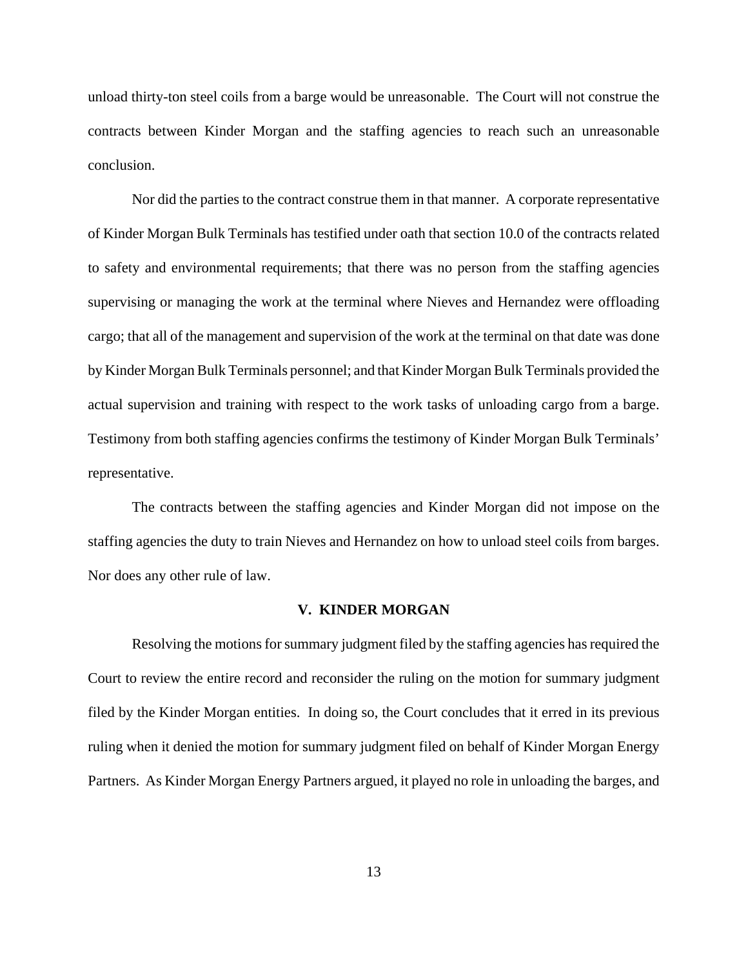unload thirty-ton steel coils from a barge would be unreasonable. The Court will not construe the contracts between Kinder Morgan and the staffing agencies to reach such an unreasonable conclusion.

Nor did the parties to the contract construe them in that manner. A corporate representative of Kinder Morgan Bulk Terminals has testified under oath that section 10.0 of the contracts related to safety and environmental requirements; that there was no person from the staffing agencies supervising or managing the work at the terminal where Nieves and Hernandez were offloading cargo; that all of the management and supervision of the work at the terminal on that date was done by Kinder Morgan Bulk Terminals personnel; and that Kinder Morgan Bulk Terminals provided the actual supervision and training with respect to the work tasks of unloading cargo from a barge. Testimony from both staffing agencies confirms the testimony of Kinder Morgan Bulk Terminals' representative.

The contracts between the staffing agencies and Kinder Morgan did not impose on the staffing agencies the duty to train Nieves and Hernandez on how to unload steel coils from barges. Nor does any other rule of law.

#### **V. KINDER MORGAN**

Resolving the motions for summary judgment filed by the staffing agencies has required the Court to review the entire record and reconsider the ruling on the motion for summary judgment filed by the Kinder Morgan entities. In doing so, the Court concludes that it erred in its previous ruling when it denied the motion for summary judgment filed on behalf of Kinder Morgan Energy Partners. As Kinder Morgan Energy Partners argued, it played no role in unloading the barges, and